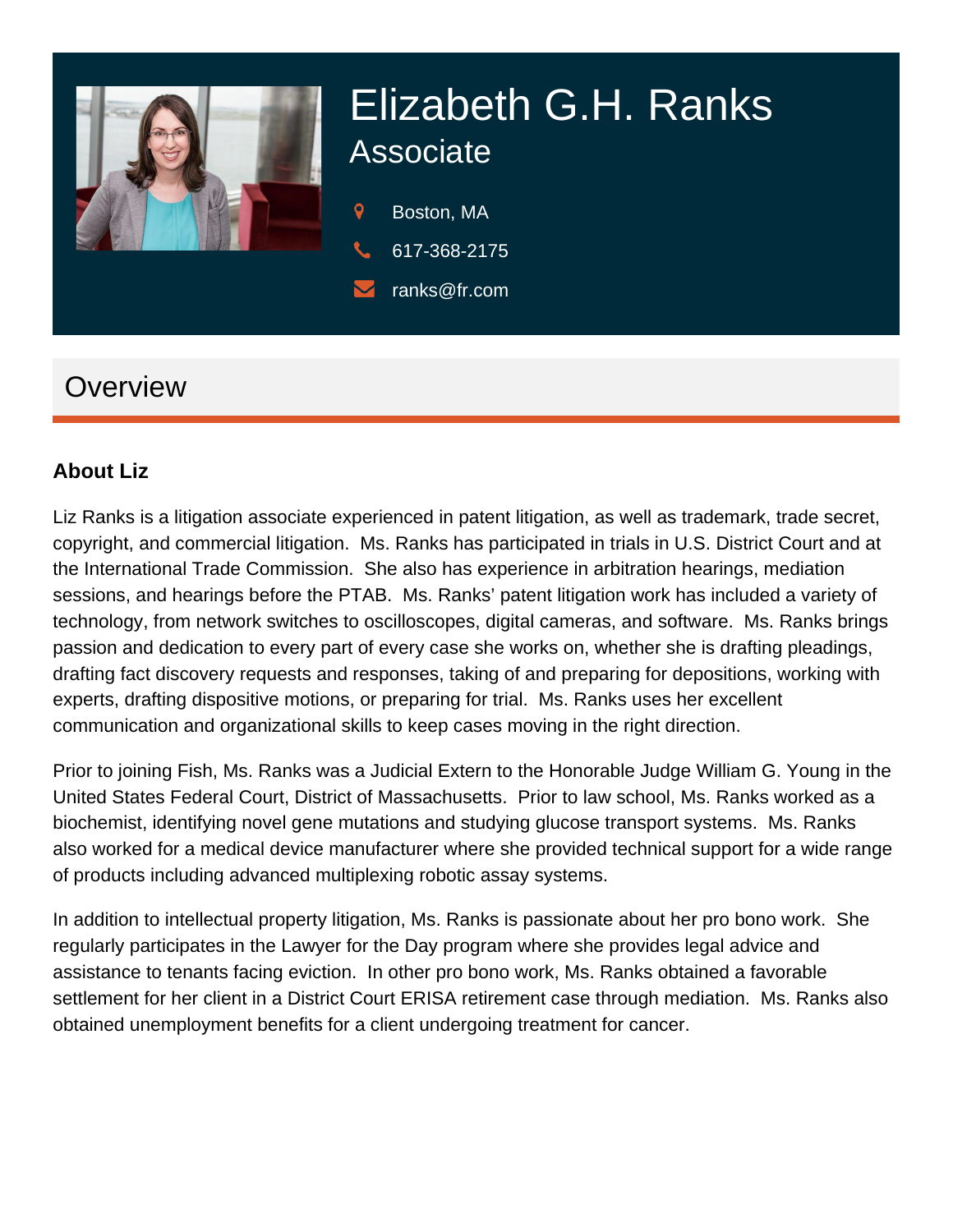

# Elizabeth G.H. Ranks **Associate**

9 Boston, MA

- 617-368-2175
- ranks@fr.com

# **Overview**

#### **About Liz**

Liz Ranks is a litigation associate experienced in patent litigation, as well as trademark, trade secret, copyright, and commercial litigation. Ms. Ranks has participated in trials in U.S. District Court and at the International Trade Commission. She also has experience in arbitration hearings, mediation sessions, and hearings before the PTAB. Ms. Ranks' patent litigation work has included a variety of technology, from network switches to oscilloscopes, digital cameras, and software. Ms. Ranks brings passion and dedication to every part of every case she works on, whether she is drafting pleadings, drafting fact discovery requests and responses, taking of and preparing for depositions, working with experts, drafting dispositive motions, or preparing for trial. Ms. Ranks uses her excellent communication and organizational skills to keep cases moving in the right direction.

Prior to joining Fish, Ms. Ranks was a Judicial Extern to the Honorable Judge William G. Young in the United States Federal Court, District of Massachusetts. Prior to law school, Ms. Ranks worked as a biochemist, identifying novel gene mutations and studying glucose transport systems. Ms. Ranks also worked for a medical device manufacturer where she provided technical support for a wide range of products including advanced multiplexing robotic assay systems.

In addition to intellectual property litigation, Ms. Ranks is passionate about her pro bono work. She regularly participates in the Lawyer for the Day program where she provides legal advice and assistance to tenants facing eviction. In other pro bono work, Ms. Ranks obtained a favorable settlement for her client in a District Court ERISA retirement case through mediation. Ms. Ranks also obtained unemployment benefits for a client undergoing treatment for cancer.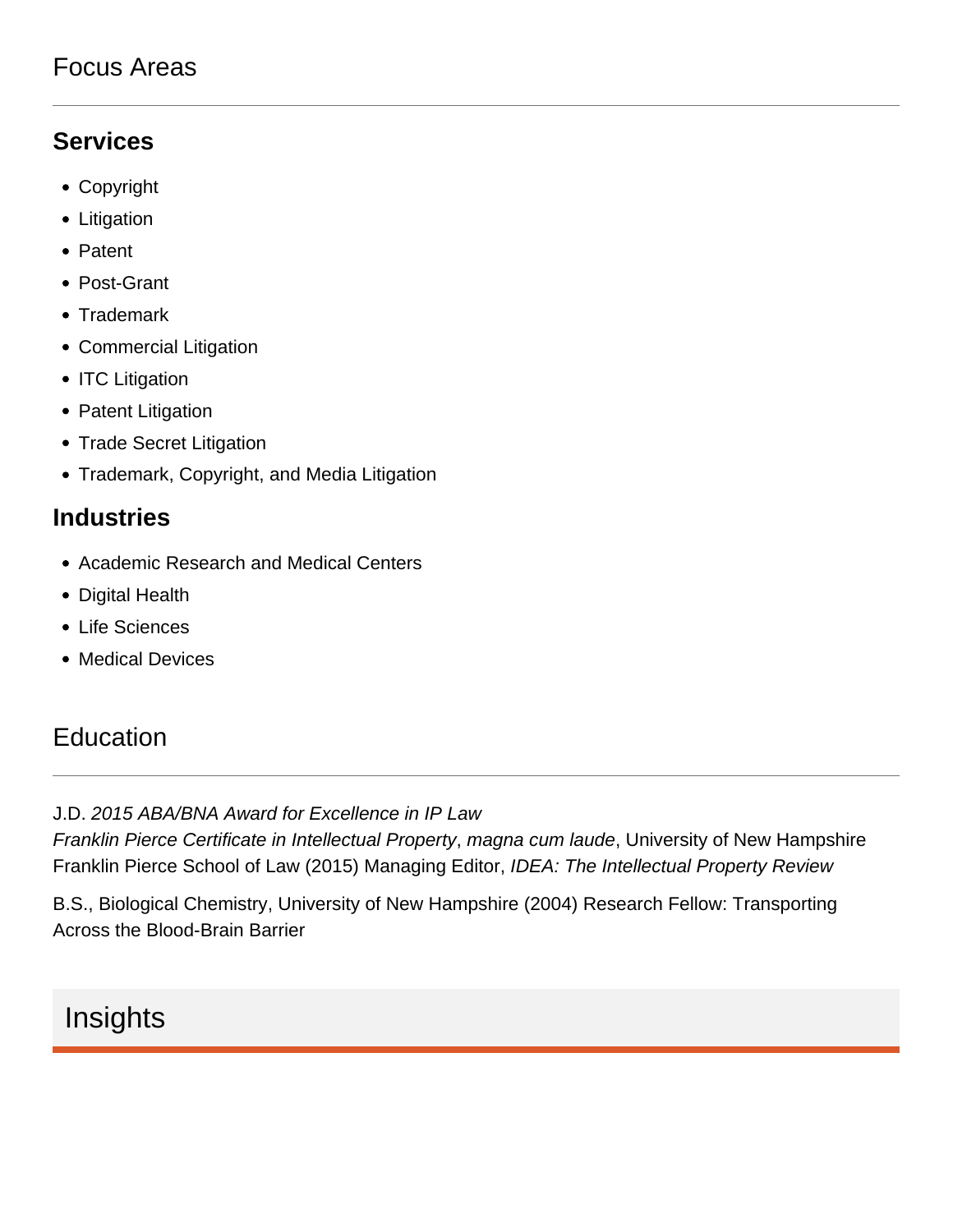### Focus Areas

#### **Services**

- Copyright
- Litigation
- Patent
- Post-Grant
- Trademark
- Commercial Litigation
- ITC Litigation
- Patent Litigation
- Trade Secret Litigation
- Trademark, Copyright, and Media Litigation

#### **Industries**

- Academic Research and Medical Centers
- Digital Health
- Life Sciences
- Medical Devices

## **Education**

#### J.D. 2015 ABA/BNA Award for Excellence in IP Law

Franklin Pierce Certificate in Intellectual Property, magna cum laude, University of New Hampshire Franklin Pierce School of Law (2015) Managing Editor, IDEA: The Intellectual Property Review

B.S., Biological Chemistry, University of New Hampshire (2004) Research Fellow: Transporting Across the Blood-Brain Barrier

# Insights